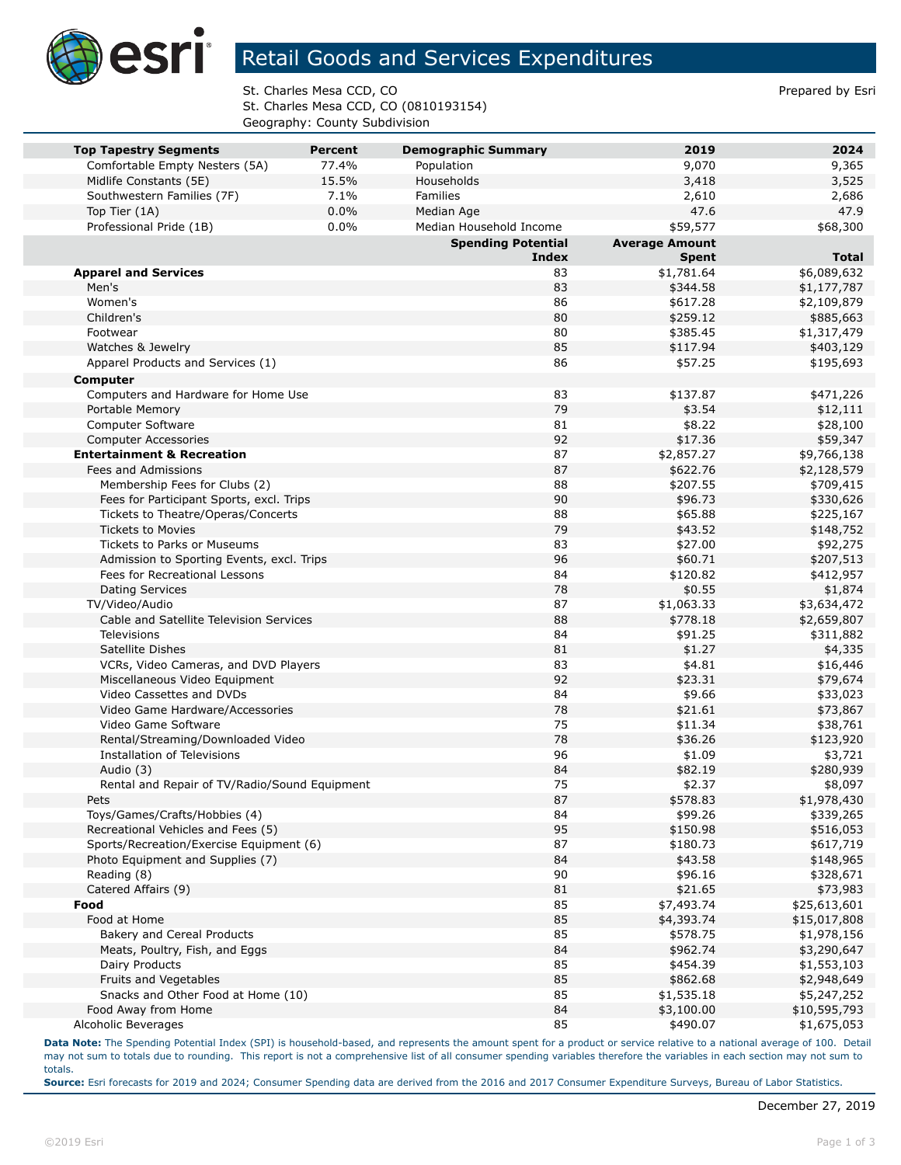

## Retail Goods and Services Expenditures

St. Charles Mesa CCD, CO **Prepared by Esri** Prepared by Esri St. Charles Mesa CCD, CO (0810193154) Geography: County Subdivision

| <b>Top Tapestry Segments</b>                  | <b>Percent</b> | <b>Demographic Summary</b>                | 2019                   | 2024                       |
|-----------------------------------------------|----------------|-------------------------------------------|------------------------|----------------------------|
| Comfortable Empty Nesters (5A)                | 77.4%          | Population                                | 9,070                  | 9,365                      |
| Midlife Constants (5E)                        | 15.5%          | Households                                | 3,418                  | 3,525                      |
| Southwestern Families (7F)                    | 7.1%           | Families                                  | 2,610                  | 2,686                      |
| Top Tier (1A)                                 | 0.0%           | Median Age                                | 47.6                   | 47.9                       |
| Professional Pride (1B)                       | 0.0%           | Median Household Income                   | \$59,577               | \$68,300                   |
|                                               |                | <b>Spending Potential</b><br><b>Index</b> | <b>Average Amount</b>  | <b>Total</b>               |
|                                               |                | 83                                        | <b>Spent</b>           |                            |
| <b>Apparel and Services</b><br>Men's          |                | 83                                        | \$1,781.64<br>\$344.58 | \$6,089,632<br>\$1,177,787 |
| Women's                                       |                | 86                                        | \$617.28               | \$2,109,879                |
| Children's                                    |                | 80                                        | \$259.12               | \$885,663                  |
| Footwear                                      |                | 80                                        | \$385.45               | \$1,317,479                |
| Watches & Jewelry                             |                | 85                                        | \$117.94               | \$403,129                  |
| Apparel Products and Services (1)             |                | 86                                        | \$57.25                | \$195,693                  |
| Computer                                      |                |                                           |                        |                            |
| Computers and Hardware for Home Use           |                | 83                                        | \$137.87               | \$471,226                  |
| Portable Memory                               |                | 79                                        | \$3.54                 | \$12,111                   |
| Computer Software                             |                | 81                                        | \$8.22                 | \$28,100                   |
| <b>Computer Accessories</b>                   |                | 92                                        | \$17.36                | \$59,347                   |
| <b>Entertainment &amp; Recreation</b>         |                | 87                                        | \$2,857.27             | \$9,766,138                |
| Fees and Admissions                           |                | 87                                        | \$622.76               | \$2,128,579                |
| Membership Fees for Clubs (2)                 |                | 88                                        | \$207.55               | \$709,415                  |
| Fees for Participant Sports, excl. Trips      |                | 90                                        | \$96.73                | \$330,626                  |
| Tickets to Theatre/Operas/Concerts            |                | 88                                        | \$65.88                | \$225,167                  |
| <b>Tickets to Movies</b>                      |                | 79                                        | \$43.52                | \$148,752                  |
| Tickets to Parks or Museums                   |                | 83                                        | \$27.00                | \$92,275                   |
| Admission to Sporting Events, excl. Trips     |                | 96                                        | \$60.71                | \$207,513                  |
| Fees for Recreational Lessons                 |                | 84                                        | \$120.82               | \$412,957                  |
| <b>Dating Services</b>                        |                | 78                                        | \$0.55                 | \$1,874                    |
| TV/Video/Audio                                |                | 87                                        | \$1,063.33             | \$3,634,472                |
| Cable and Satellite Television Services       |                | 88                                        | \$778.18               | \$2,659,807                |
| Televisions                                   |                | 84                                        | \$91.25                | \$311,882                  |
| Satellite Dishes                              |                | 81                                        | \$1.27                 | \$4,335                    |
| VCRs, Video Cameras, and DVD Players          |                | 83                                        | \$4.81                 | \$16,446                   |
| Miscellaneous Video Equipment                 |                | 92                                        | \$23.31                | \$79,674                   |
| Video Cassettes and DVDs                      |                | 84                                        | \$9.66                 | \$33,023                   |
| Video Game Hardware/Accessories               |                | 78                                        | \$21.61                | \$73,867                   |
| Video Game Software                           |                | 75                                        | \$11.34                | \$38,761                   |
| Rental/Streaming/Downloaded Video             |                | 78                                        | \$36.26                | \$123,920                  |
| Installation of Televisions<br>Audio (3)      |                | 96<br>84                                  | \$1.09<br>\$82.19      | \$3,721                    |
| Rental and Repair of TV/Radio/Sound Equipment |                | 75                                        | \$2.37                 | \$280,939<br>\$8,097       |
| Pets                                          |                | 87                                        | \$578.83               | \$1,978,430                |
| Toys/Games/Crafts/Hobbies (4)                 |                | 84                                        | \$99.26                | \$339,265                  |
| Recreational Vehicles and Fees (5)            |                | 95                                        | \$150.98               | \$516,053                  |
| Sports/Recreation/Exercise Equipment (6)      |                | 87                                        | \$180.73               | \$617,719                  |
| Photo Equipment and Supplies (7)              |                | 84                                        | \$43.58                | \$148,965                  |
| Reading (8)                                   |                | 90                                        | \$96.16                | \$328,671                  |
| Catered Affairs (9)                           |                | 81                                        | \$21.65                | \$73,983                   |
| Food                                          |                | 85                                        | \$7,493.74             | \$25,613,601               |
| Food at Home                                  |                | 85                                        | \$4,393.74             | \$15,017,808               |
| Bakery and Cereal Products                    |                | 85                                        | \$578.75               | \$1,978,156                |
| Meats, Poultry, Fish, and Eggs                |                | 84                                        | \$962.74               | \$3,290,647                |
| Dairy Products                                |                | 85                                        | \$454.39               | \$1,553,103                |
| Fruits and Vegetables                         |                | 85                                        | \$862.68               | \$2,948,649                |
| Snacks and Other Food at Home (10)            |                | 85                                        | \$1,535.18             | \$5,247,252                |
| Food Away from Home                           |                | 84                                        | \$3,100.00             | \$10,595,793               |
| Alcoholic Beverages                           |                | 85                                        | \$490.07               | \$1,675,053                |

**Data Note:** The Spending Potential Index (SPI) is household-based, and represents the amount spent for a product or service relative to a national average of 100. Detail may not sum to totals due to rounding. This report is not a comprehensive list of all consumer spending variables therefore the variables in each section may not sum to totals.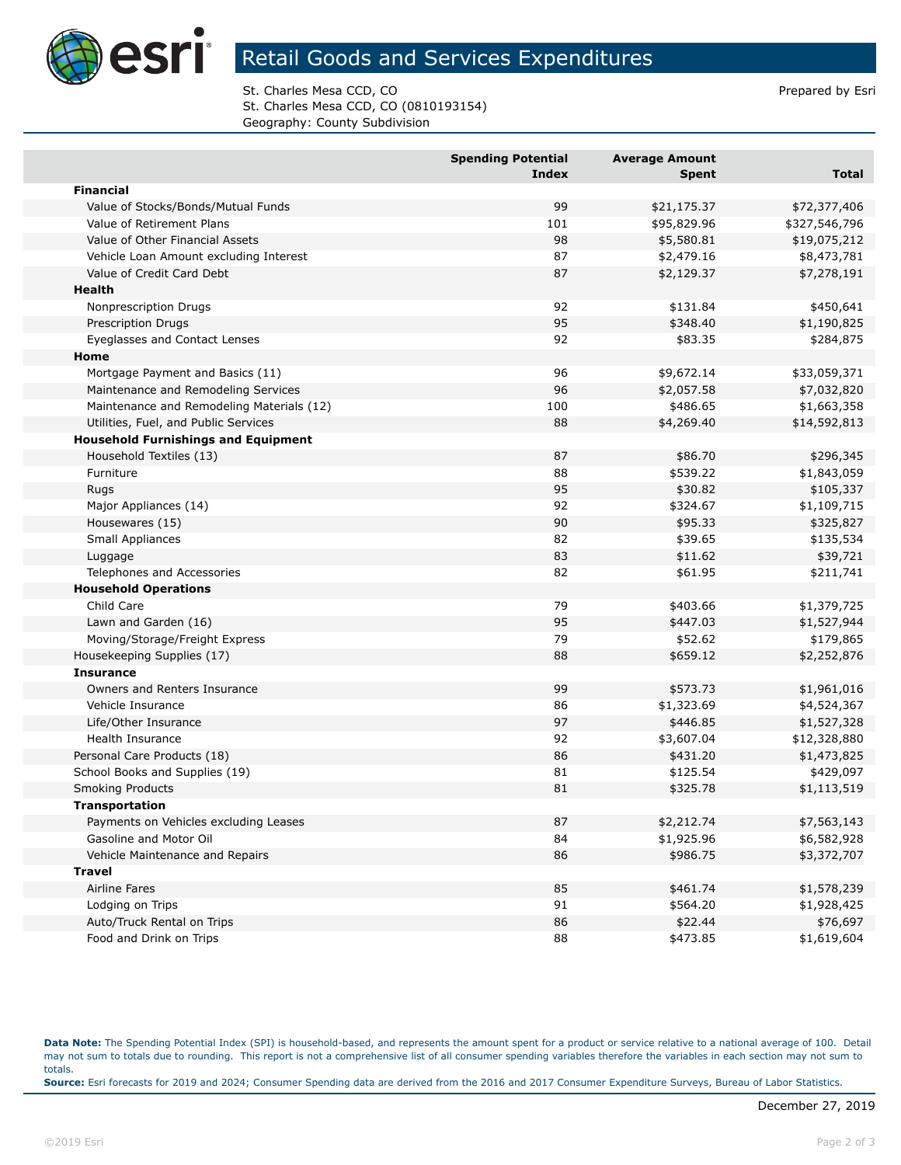

## Retail Goods and Services Expenditures

St. Charles Mesa CCD, CO **Prepared by Esri** Prepared by Esri St. Charles Mesa CCD, CO (0810193154) Geography: County Subdivision

|                                            | <b>Spending Potential</b><br><b>Index</b> | <b>Average Amount</b><br><b>Spent</b> | Total         |
|--------------------------------------------|-------------------------------------------|---------------------------------------|---------------|
| <b>Financial</b>                           |                                           |                                       |               |
| Value of Stocks/Bonds/Mutual Funds         | 99                                        | \$21,175.37                           | \$72,377,406  |
| Value of Retirement Plans                  | 101                                       | \$95,829.96                           | \$327,546,796 |
| Value of Other Financial Assets            | 98                                        | \$5,580.81                            | \$19,075,212  |
| Vehicle Loan Amount excluding Interest     | 87                                        | \$2,479.16                            | \$8,473,781   |
| Value of Credit Card Debt                  | 87                                        | \$2,129.37                            | \$7,278,191   |
| <b>Health</b>                              |                                           |                                       |               |
| Nonprescription Drugs                      | 92                                        | \$131.84                              | \$450,641     |
| Prescription Drugs                         | 95                                        | \$348.40                              | \$1,190,825   |
| Eyeglasses and Contact Lenses              | 92                                        | \$83.35                               | \$284,875     |
| Home                                       |                                           |                                       |               |
| Mortgage Payment and Basics (11)           | 96                                        | \$9,672.14                            | \$33,059,371  |
| Maintenance and Remodeling Services        | 96                                        | \$2,057.58                            | \$7,032,820   |
| Maintenance and Remodeling Materials (12)  | 100                                       | \$486.65                              | \$1,663,358   |
| Utilities, Fuel, and Public Services       | 88                                        | \$4,269.40                            | \$14,592,813  |
| <b>Household Furnishings and Equipment</b> |                                           |                                       |               |
| Household Textiles (13)                    | 87                                        | \$86.70                               | \$296,345     |
| Furniture                                  | 88                                        | \$539.22                              | \$1,843,059   |
| Rugs                                       | 95                                        | \$30.82                               | \$105,337     |
| Major Appliances (14)                      | 92                                        | \$324.67                              | \$1,109,715   |
| Housewares (15)                            | 90                                        | \$95.33                               | \$325,827     |
| Small Appliances                           | 82                                        | \$39.65                               | \$135,534     |
| Luggage                                    | 83                                        | \$11.62                               | \$39,721      |
| Telephones and Accessories                 | 82                                        | \$61.95                               | \$211,741     |
| <b>Household Operations</b>                |                                           |                                       |               |
| Child Care                                 | 79                                        | \$403.66                              | \$1,379,725   |
| Lawn and Garden (16)                       | 95                                        | \$447.03                              | \$1,527,944   |
| Moving/Storage/Freight Express             | 79                                        | \$52.62                               | \$179,865     |
| Housekeeping Supplies (17)                 | 88                                        | \$659.12                              | \$2,252,876   |
| <b>Insurance</b>                           |                                           |                                       |               |
| Owners and Renters Insurance               | 99                                        | \$573.73                              | \$1,961,016   |
| Vehicle Insurance                          | 86                                        | \$1,323.69                            | \$4,524,367   |
| Life/Other Insurance                       | 97                                        | \$446.85                              | \$1,527,328   |
| Health Insurance                           | 92                                        | \$3,607.04                            | \$12,328,880  |
| Personal Care Products (18)                | 86                                        | \$431.20                              | \$1,473,825   |
| School Books and Supplies (19)             | 81                                        | \$125.54                              | \$429,097     |
| <b>Smoking Products</b>                    | 81                                        | \$325.78                              | \$1,113,519   |
| <b>Transportation</b>                      |                                           |                                       |               |
| Payments on Vehicles excluding Leases      | 87                                        | \$2,212.74                            | \$7,563,143   |
| Gasoline and Motor Oil                     | 84                                        | \$1,925.96                            | \$6,582,928   |
| Vehicle Maintenance and Repairs            | 86                                        | \$986.75                              | \$3,372,707   |
| <b>Travel</b>                              |                                           |                                       |               |
| <b>Airline Fares</b>                       | 85                                        | \$461.74                              | \$1,578,239   |
| Lodging on Trips                           | 91                                        | \$564.20                              | \$1,928,425   |
| Auto/Truck Rental on Trips                 | 86                                        | \$22.44                               | \$76,697      |
| Food and Drink on Trips                    | 88                                        | \$473.85                              | \$1,619,604   |

**Data Note:** The Spending Potential Index (SPI) is household-based, and represents the amount spent for a product or service relative to a national average of 100. Detail may not sum to totals due to rounding. This report is not a comprehensive list of all consumer spending variables therefore the variables in each section may not sum to totals. **Source:** Esri forecasts for 2019 and 2024; Consumer Spending data are derived from the 2016 and 2017 Consumer Expenditure Surveys, Bureau of Labor Statistics.